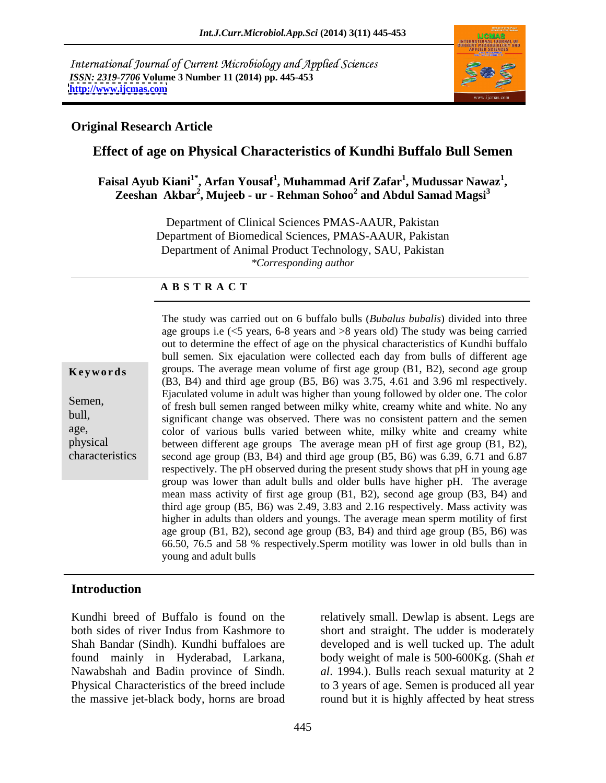International Journal of Current Microbiology and Applied Sciences *ISSN: 2319-7706* **Volume 3 Number 11 (2014) pp. 445-453 <http://www.ijcmas.com>**



## **Original Research Article**

# **Effect of age on Physical Characteristics of Kundhi Buffalo Bull Semen**

### Faisal Ayub Kiani<sup>1\*</sup>, Arfan Yousaf<sup>1</sup>, Muhammad Arif Zafar<sup>1</sup>, Mudussar Nawaz<sup>1</sup>, **, Mudussar Nawaz<sup>1</sup>** sal Ayub Kiani'<sup>s</sup>, Arfan Yousaf', Muhammad Arif Zafar', Mudussar Nawaz',<br>Zeeshan Akbar<sup>2</sup>, Mujeeb - ur - Rehman Sohoo<sup>2</sup> and Abdul Samad Magsi<sup>3</sup>

Department of Clinical Sciences PMAS-AAUR, Pakistan Department of Biomedical Sciences, PMAS-AAUR, Pakistan Department of Animal Product Technology, SAU, Pakistan *\*Corresponding author* 

### **A B S T R A C T**

age, and taper up was observed. There was no consistent pattern and the seller color of various bulls varied between white, milky white and creamy white physical between different age groups The average mean pH of first age group (B1, B2), characteristics second age group  $(B3, B4)$  and third age group  $(B5, B6)$  was 6.39, 6.71 and 6.87 **Keywords** groups. The average mean volume of first age group (B1, B2), second age group Semen,<br>
of fresh bull semen ranged between milky white, creamy white and white. No any bull,<br>
significant change was observed. There was no consistent pattern and the semen The study was carried out on 6 buffalo bulls (*Bubalus bubalis*) divided into three age groups i.e (<5 years, 6-8 years and >8 years old) The study was being carried out to determine the effect of age on the physical characteristics of Kundhi buffalo bull semen. Six ejaculation were collected each day from bulls of different age (B3, B4) and third age group (B5, B6) was 3.75, 4.61 and 3.96 ml respectively. Ejaculated volume in adult was higher than young followed by older one. The color respectively. The pH observed during the present study shows that pH in young age group was lower than adult bulls and older bulls have higher pH. The average mean mass activity of first age group (B1, B2), second age group (B3, B4) and third age group (B5, B6) was 2.49, 3.83 and 2.16 respectively. Mass activity was higher in adults than olders and youngs. The average mean sperm motility of first age group (B1, B2), second age group (B3, B4) and third age group (B5, B6) was 66.50, 76.5 and 58 % respectively.Sperm motility was lower in old bulls than in young and adult bulls

# **Introduction**

Kundhi breed of Buffalo is found on the relatively small. Dewlap is absent. Legs are both sides of river Indus from Kashmore to short and straight. The udder is moderately Shah Bandar (Sindh). Kundhi buffaloes are developed and is well tucked up. The adult found mainly in Hyderabad, Larkana, body weight of male is 500-600Kg. (Shah *et*  Nawabshah and Badin province of Sindh. *al*. 1994.). Bulls reach sexual maturity at 2 Physical Characteristics of the breed include to 3 years of age. Semen is produced all year the massive jet-black body, horns are broad round but it is highly affected by heat stress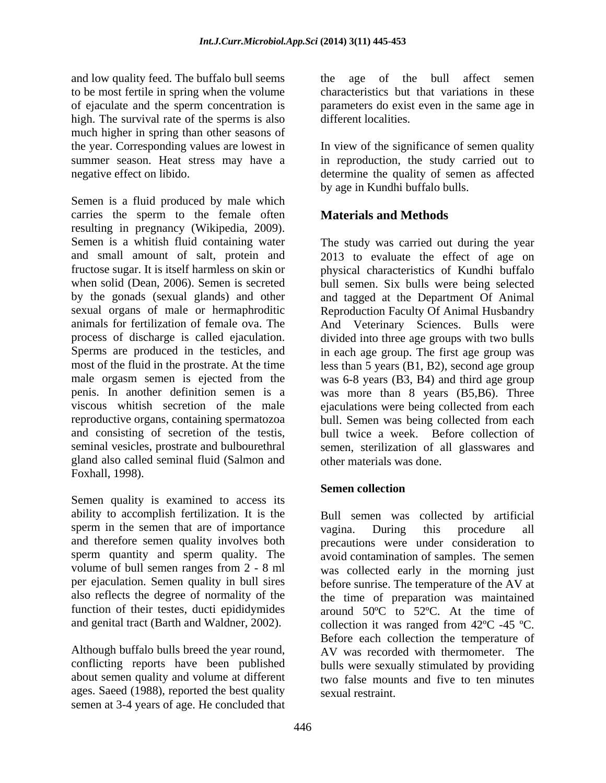and low quality feed. The buffalo bull seems to be most fertile in spring when the volume high. The survival rate of the sperms is also much higher in spring than other seasons of the year. Corresponding values are lowest in In view of the significance of semen quality summer season. Heat stress may have a in reproduction, the study carried out to

Semen is a fluid produced by male which carries the sperm to the female often resulting in pregnancy (Wikipedia, 2009). Semen is a whitish fluid containing water The study was carried out during the year and small amount of salt, protein and 2013 to evaluate the effect of age on fructose sugar. It is itself harmless on skin or physical characteristics of Kundhi buffalo when solid (Dean, 2006). Semen is secreted bull semen. Six bulls were being selected by the gonads (sexual glands) and other and tagged at the Department Of Animal sexual organs of male or hermaphroditic Reproduction Faculty Of Animal Husbandry animals for fertilization of female ova. The And Veterinary Sciences. Bulls were process of discharge is called ejaculation. Sperms are produced in the testicles, and in each age group. The first age group was most of the fluid in the prostrate. At the time less than 5 years (B1, B2), second age group male orgasm semen is ejected from the was 6-8 years (B3, B4) and third age group penis. In another definition semen is a was more than 8 years (B5,B6). Three viscous whitish secretion of the male ejaculations were being collected from each reproductive organs, containing spermatozoa bull. Semen was being collected from each and consisting of secretion of the testis, bull twice a week. Before collection of seminal vesicles, prostrate and bulbourethral semen, sterilization of all glasswares and gland also called seminal fluid (Salmon and Foxhall, 1998).

Semen quality is examined to access its ability to accomplish fertilization. It is the sperm in the semen that are of importance vagina. During this procedure all and therefore semen quality involves both per ejaculation. Semen quality in bull sires

Although buffalo bulls breed the year round, ages. Saeed (1988), reported the best quality semen at 3-4 years of age. He concluded that

of ejaculate and the sperm concentration is parameters do exist even in the same age in age of the bull affect semen characteristics but that variations in these different localities.

negative effect on libido. determine the quality of semen as affected by age in Kundhi buffalo bulls.

# **Materials and Methods**

divided into three age groups with two bulls other materials was done.

## **Semen collection**

sperm quantity and sperm quality. The avoid contamination of samples. The semen volume of bull semen ranges from 2 - 8 ml was collected early in the morning just also reflects the degree of normality of the the time of preparation was maintained function of their testes, ducti epididymides around 50ºC to 52ºC. At the time of and genital tract (Barth and Waldner, 2002). collection it was ranged from 42°C -45 °C. conflicting reports have been published bulls were sexually stimulated by providing about semen quality and volume at different two false mounts and five to ten minutes Bull semen was collected by artificial vagina. During this procedure all precautions were under consideration to before sunrise. The temperature of the AV at Before each collection the temperature of AV was recorded with thermometer. The sexual restraint.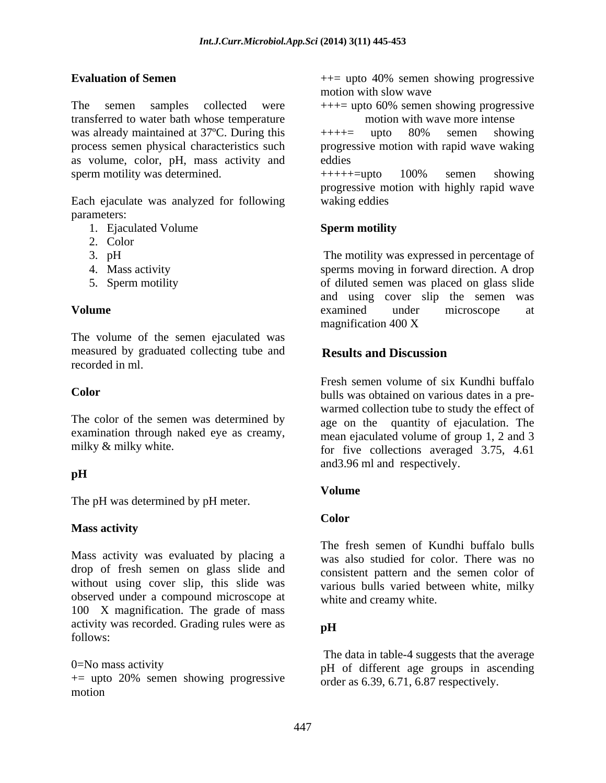The semen samples collected were  $+++=$  upto 60% semen showing progressive transferred to water bath whose temperature was already maintained at  $37^{\circ}$ C. During this  $+++=$  upto  $80\%$  semen showing as volume, color, pH, mass activity and sperm motility was determined.  $+++++=$ upto 100% semen showing

Each ejaculate was analyzed for following parameters:  $\blacksquare$ 

- 1. Ejaculated Volume Sperm motility
- 2. Color
- 
- 
- 

The volume of the semen ejaculated was measured by graduated collecting tube and **Results and Discussion** recorded in ml. recorded in ml.

The color of the semen was determined by examination through naked eye as creamy,

### **pH**

The pH was determined by pH meter.

### **Mass activity**

Mass activity was evaluated by placing a drop of fresh semen on glass slide and without using cover slip, this slide was observed under a compound microscope at 100 X magnification. The grade of mass activity was recorded. Grading rules were as  $\mathbf{p}$ H follows:

 $+=$  upto 20% semen showing progressive motion and the contract of the contract of the contract of the contract of the contract of the contract of the contract of the contract of the contract of the contract of the contract of the contract of the contract of the

**Evaluation of Semen Evaluation of Semen hermic state**  $++=$  upto 40% semen showing progressive motion with slow wave

> $++=$  upto 60% semen showing progressive motion with wave more intense

process semen physical characteristics such progressive motion with rapid wave waking ++++= upto 80% semen showing eddies

> +++++=upto 100% semen showing progressive motion with highly rapid wave waking eddies

### **Sperm motility**

3. pH The motility was expressed in percentage of 4. Mass activity sperms moving in forward direction. A drop 5. Sperm motility of diluted semen was placed on glass slide **Volume** examined under microscope at and using cover slip the semen was examined under microscope at magnification 400 X

### **Results and Discussion**

**Color** bulls was obtained on various dates in a premilky & milky white. **for** five collections averaged 3.75, 4.61 Fresh semen volume of six Kundhi buffalo warmed collection tube to study the effect of age on the quantity of ejaculation. The mean ejaculated volume of group 1, 2 and 3 and3.96 ml and respectively.

## **Volume**

### **Color**

The fresh semen of Kundhi buffalo bulls was also studied for color. There was no consistent pattern and the semen color of various bulls varied between white, milky white and creamy white.

### **pH**

0=No mass activity pH of different age groups in ascending The data in table-4 suggests that the average order as 6.39, 6.71, 6.87 respectively.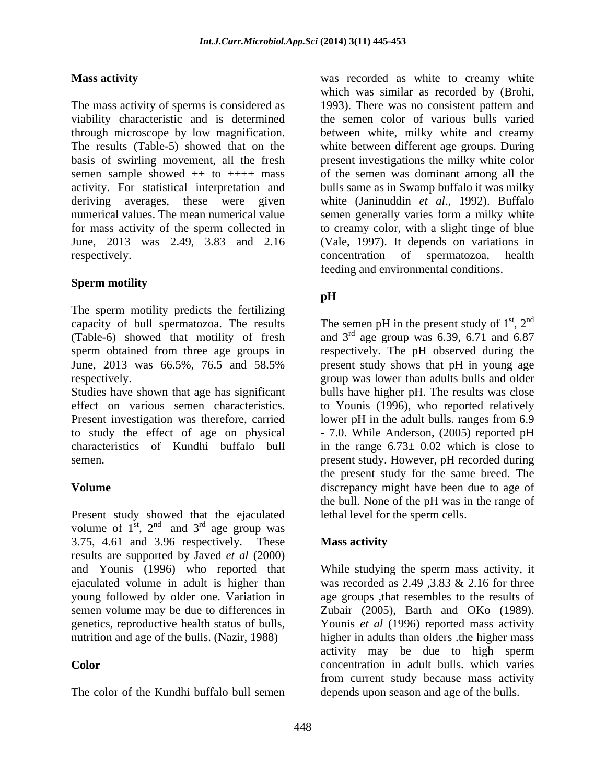The mass activity of sperms is considered as viability characteristic and is determined the semen colorof various bulls varied through microscope by low magnification. between white, milky white and creamy The results (Table-5) showed that on the white between different age groups. During basis of swirling movement, all the fresh present investigations the milky white color semen sample showed ++ to ++++ mass activity. For statistical interpretation and bulls same as in Swamp buffalo it was milky deriving averages, these were given white (Janinuddin *et al*., 1992). Buffalo numerical values. The mean numerical value semen generally varies form a milky white for mass activity of the sperm collected in to creamy color, with a slight tinge of blue June, 2013 was 2.49, 3.83 and 2.16 respectively. The concentration of spermatozoa, health

## **Sperm motility**

The sperm motility predicts the fertilizing

Present investigation was therefore, carried lower pH in the adult bulls. ranges from 6.9

Present study showed that the ejaculated volume of  $1^{st}$ ,  $2^{nd}$  and  $3^{rd}$  age group was and  $3<sup>rd</sup>$  age group was rd ago group was age group was 3.75, 4.61 and 3.96 respectively. These results are supported by Javed *et al* (2000) and Younis (1996) who reported that

**Mass activity**  was recorded as white to creamy white which was similar as recorded by (Brohi, 1993). There was no consistent pattern and of the semen was dominant among all the (Vale, 1997). It depends on variations in concentration of spermatozoa, health feeding and environmental conditions.

# **pH**

capacity of bull spermatozoa. The results The semen pH in the present study of  $1<sup>st</sup>$ ,  $2<sup>nd</sup>$ (Table-6) showed that motility of fresh and  $3<sup>rd</sup>$  age group was 6.39, 6.71 and 6.87 sperm obtained from three age groups in respectively. The pH observed during the June, 2013 was 66.5%, 76.5 and 58.5% present study shows that pH in young age respectively. group was lower than adults bulls and older Studies have shown that age has significant bulls have higher pH. The results was close effect on various semen characteristics. to Younis (1996), who reported relatively to study the effect of age on physical - 7.0. While Anderson, (2005) reported pH characteristics of Kundhi buffalo bull in the range 6.73± 0.02 which is close to semen. present study. However, pH recorded during **Volume** discrepancy might have been due to age of st  $\gamma$ nd  $, 2<sup>nd</sup>$ nd present study shows that pH in young age lower pH in the adult bulls. ranges from 6.9 the present study for the same breed. The the bull. None of the pH was in the range of lethal level for the sperm cells.

## **Mass activity**

ejaculated volume in adult is higher than was recorded as 2.49 ,3.83 & 2.16 for three young followed by older one. Variation in age groups ,that resembles to the results of semen volume may be due to differences in Zubair (2005), Barth and OKo (1989). genetics, reproductive health status of bulls, Younis *et al* (1996) reported mass activity nutrition and age of the bulls. (Nazir, 1988) higher in adults than olders .the higher mass **Color Color Color Color Color Color Color Color Color Color Color Color Color Color Color Color Color Color Color Color Color Color Color Color Color Color Color Color** from current study because mass activity<br>The color of the Kundhi buffalo bull semen depends upon season and age of the bulls. While studying the sperm mass activity, it activity may be due to high sperm from current study because mass activity depends upon season and age of the bulls.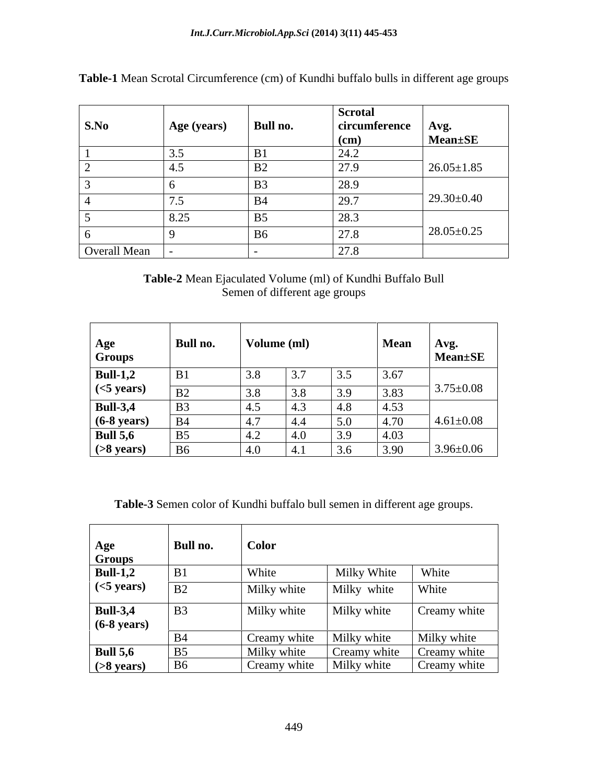|              |                                           |                    | <b>Scrotal</b>      |                  |
|--------------|-------------------------------------------|--------------------|---------------------|------------------|
| S.No         | Age (years)                               | Bull no.           | circumference       | Avg.             |
|              |                                           |                    | (cm)                | Mean±SE          |
|              | $\sim$ $\sim$                             |                    | $\bigcap$ $\bigcap$ |                  |
|              | −                                         | $\mathbf{D}$<br>ມ∠ |                     | $26.05 \pm 1.85$ |
|              |                                           | B <sub>3</sub>     | $\boxed{28.9}$      |                  |
|              | $\sim$ $\sim$<br>$\overline{\phantom{a}}$ | $B^2$              | 29.7                | $29.30\pm0.40$   |
|              | 8.25                                      | B <sub>5</sub>     | 00a<br>28.3         |                  |
|              |                                           | B <sub>6</sub>     | 27.8                | $28.05 \pm 0.25$ |
| Overall Mean |                                           |                    | 27.8                |                  |

**Table-1** Mean Scrotal Circumference (cm) of Kundhi buffalo bulls in different age groups

## **Table-2** Mean Ejaculated Volume (ml) of Kundhi Buffalo Bull Semen of different age groups

| Age<br><b>Groups</b>  | Bull no.            | Volume (ml) |                     |      | <b>Mean</b>   | Avg.<br><b>Mean</b> ±SE |
|-----------------------|---------------------|-------------|---------------------|------|---------------|-------------------------|
| <b>Bull-1,2</b>       | B1                  |             | 3.7                 | 3.5  | 3.67          |                         |
| $(<5 \text{ years})$  | — ப <i>ட</i>        |             | $\sim$ $\sim$       | 3.9  | 202<br>.C.    | $3.75 \pm 0.08$         |
| <b>Bull-3,4</b>       | $\mathbf{D}$<br>DJ. |             | 4.5                 | 4.8  | 4.53          |                         |
| $(6-8 \text{ years})$ |                     |             | $\vert 4.4 \rangle$ | 5.0  | 4.70          | $4.61 \pm 0.08$         |
| <b>Bull 5,6</b>       | B <sub>5</sub>      |             | 14.O                | 13.5 | $4.0^{\circ}$ |                         |
| $($ >8 years $)$      | $\mathbf{r}$        | 4.0         | $\vert 4.$          | 3.6  | 3.90          | $3.96 \pm 0.06$         |

**Table-3** Semen color of Kundhi buffalo bull semen in different age groups.

| Age                   | Bull no.       | <b>Color</b> |              |              |
|-----------------------|----------------|--------------|--------------|--------------|
| <b>Groups</b>         |                |              |              |              |
| $\vert$ Bull-1,2      | B1             | White        | Milky White  | White        |
| $\sim$ (<5 years)     | B2             | Milky white  | Milky white  | White        |
| <b>Bull-3,4</b>       | <b>B</b> 3     | Milky white  | Milky white  | Creamy white |
| $(6-8 \text{ years})$ |                |              |              |              |
|                       | <b>B</b> 4     | Creamy white | Milky white  | Milky white  |
| <b>Bull 5,6</b>       | <b>B5</b>      | Milky white  | Creamy white | Creamy white |
| $( >8$ years)         | B <sub>6</sub> | Creamy white | Milky white  | Creamy white |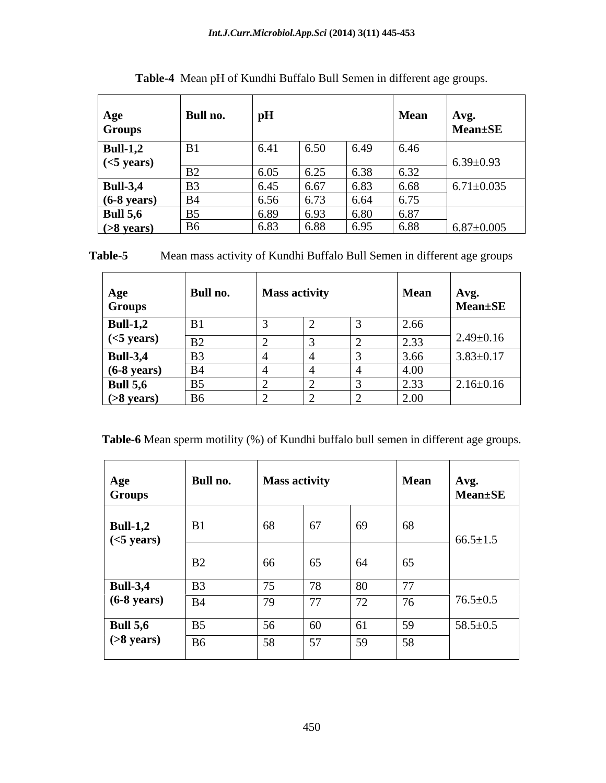| Age<br>Groups         | Bull no.       | pH                   |      |      | Mean   | Avg.<br>Mean±SE  |
|-----------------------|----------------|----------------------|------|------|--------|------------------|
| $Bull-1,2$            | R <sub>1</sub> | 6.41                 | 6.50 | 6.49 | $6.46$ |                  |
| $\vert$ (<5 years)    |                |                      |      |      |        | $6.39 \pm 0.93$  |
|                       | $\mathbf{D}$   | $\sim$ $\sim$ $\sim$ | 6.25 | 6.38 | 6.32   |                  |
| <b>Bull-3,4</b>       | B <sub>3</sub> | 5.15                 | 6.67 | 6.83 | 6.68   | $6.71 \pm 0.035$ |
| $(6-8 \text{ years})$ | <b>B4</b>      | 6.56                 | 6.73 | 6.64 | 16.75  |                  |
| <b>Bull 5,6</b>       | B <sub>5</sub> | 6.80                 | 6.93 | 6.80 | 6.87   |                  |
| $( >8$ years)         | <b>B6</b>      | 6.83                 | 6.88 | 6.95 | 6.88   | $6.87 \pm 0.005$ |

**Table-4** Mean pH of Kundhi Buffalo Bull Semen in different age groups.

| Table-5 | in different age groups<br>Mean mass activity of Kundhi Buffalo Bull Semen in |  |
|---------|-------------------------------------------------------------------------------|--|
|---------|-------------------------------------------------------------------------------|--|

| Age<br><b>Groups</b>  | Bull no.               | <b>Mass activity</b> | Mean | Avg.<br>Mean±SE |
|-----------------------|------------------------|----------------------|------|-----------------|
| <b>Bull-1,2</b>       | B1                     |                      | 2.66 |                 |
| $(<5 \text{ years})$  |                        |                      | 2.33 | $2.49 \pm 0.16$ |
| <b>Bull-3,4</b>       | B <sub>3</sub>         |                      | 3.66 | $3.83 \pm 0.17$ |
| $(6-8 \text{ years})$ | $\mathbf{D}$ $\Lambda$ |                      | 4.00 |                 |
| <b>Bull 5,6</b>       | $\overline{B5}$        |                      | 2.33 | $2.16 \pm 0.16$ |
| $( >8$ years)         |                        |                      | 2.00 |                 |

**Table-6** Mean sperm motility (%) of Kundhi buffalo bull semen in different age groups.

| Age<br>Groups                           | Bull no.       |                     | <b>Mass activity</b>    |    | <b>Mean</b> | Avg.<br>Mean±SE |
|-----------------------------------------|----------------|---------------------|-------------------------|----|-------------|-----------------|
| <b>Bull-1,2</b><br>$(<5 \text{ years})$ | B1             | 68                  | 67                      | 69 | 68          | $66.5 \pm 1.5$  |
|                                         | B2             | 66                  | 65                      | 64 | 65          |                 |
| <b>Bull-3,4</b>                         | B3             | $ -$                | $\sqrt{2}$<br>$10^{-7}$ | 80 | 77<br>, ,   |                 |
| $(6-8 \text{ years})$                   | <b>B</b> 4     | $\neg \wedge$<br>79 | 77                      | 72 | 76          | $76.5 \pm 0.5$  |
| <b>Bull 5,6</b>                         | B <sub>5</sub> | 56                  | 60                      |    | 59          | $58.5 \pm 0.5$  |
| $($ >8 years $)$                        | <b>B6</b>      | 58                  | 57<br>J <sub>I</sub>    | 59 | 58          |                 |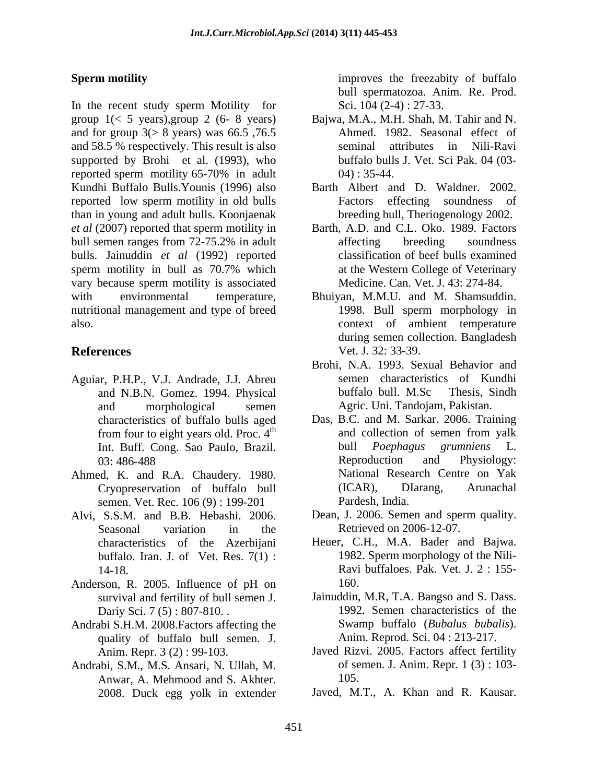In the recent study sperm Motility for group 1(< 5 years),group 2 (6- 8 years) Bajwa, M.A., M.H. Shah, M. Tahir and N. and for group  $3(> 8$  years) was 66.5, 76.5 and 58.5 % respectively. This result is also seminal attributes in Nili-Ravi supported by Brohi et al. (1993), who reported sperm motility 65-70% in adult  $04$ ): 35-44. Kundhi Buffalo Bulls.Younis (1996) also reported low sperm motility in old bulls than in young and adult bulls. Koonjaenak *et al* (2007) reported that sperm motility in bull semen ranges from 72-75.2% in adult affecting breeding soundness bulls. Jainuddin *et al* (1992) reported sperm motility in bull as 70.7% which at the Western College of Veterinary vary because sperm motility is associated with environmental temperature, Bhuiyan, M.M.U. and M. Shamsuddin. nutritional management and type of breed 1998. Bull sperm morphology in also. context of ambient temperature

- Aguiar, P.H.P., V.J. Andrade, J.J. Abreu semen characterist<br>and N.B.N. Gomez. 1994. Physical buffalo bull. M.Sc from four to eight years old. Proc.  $4<sup>th</sup>$ Int. Buff. Cong. Sao Paulo, Brazil.
- Ahmed, K. and R.A. Chaudery. 1980. semen. Vet. Rec. 106 (9) : 199-201 Pardesh, India.
- Alvi, S.S.M. and B.B. Hebashi. 2006. Dean, J. 2006. Semen and sperm quality.<br>Seasonal variation in the Retrieved on 2006-12-07. buffalo. Iran. J. of Vet. Res. 7(1) :
- Anderson, R. 2005. Influence of pH on 160. survival and fertility of bull semen J.
- Andrabi S.H.M. 2008.Factors affecting the quality of buffalo bull semen. J.
- Andrabi, S.M., M.S. Ansari, N. Ullah, M. Anwar, A. Mehmood and S. Akhter. 2008. Duck egg yolk in extender

**Sperm motility** and the summation of the second improves the freezabity of buffalo bull spermatozoa. Anim. Re. Prod. Sci. 104 (2-4) : 27-33.

- Ahmed. 1982. Seasonal effect of seminal attributes in Nili-Ravi buffalo bulls J. Vet. Sci Pak. 04 (03- 04) : 35-44.
- Barth Albert and D. Waldner. 2002. Factors effecting soundness of breeding bull, Theriogenology 2002.
- Barth, A.D. and C.L. Oko. 1989. Factors affecting breeding soundness classification of beef bulls examined at the Western College of Veterinary Medicine. Can. Vet. J. 43: 274-84.
- **References** Vet. J. 32: 33-39. 1998. Bull sperm morphology in during semen collection. Bangladesh Vet. J. 32: 33-39.
	- and N.B.N. Gomez. 1994. Physical and morphological semen Agric. Uni. Tandojam, Pakistan. Brohi, N.A. 1993. Sexual Behavior and semen characteristics of Kundhi buffalo bull. M.Sc Thesis, Sindh
	- characteristics of buffalo bulls aged Das, B.C. and M. Sarkar. 2006. Training and collection of semen from yalk 03: 486-488 **Reproduction** and Physiology: Cryopreservation of buffalo bull and collection of semen from yalk bull *Poephagus grumniens* L. Reproduction and Physiology: National Research Centre on Yak (ICAR), DIarang, Arunachal Pardesh, India.
		- Dean, J. 2006. Semen and sperm quality. Retrieved on 2006-12-07.
	- characteristics of the Azerbijani Heuer, C.H., M.A. Bader and Bajwa. 14-18. Ravi buffaloes. Pak. Vet. J. 2 : 155- 1982. Sperm morphology of the Nili- 160.
	- Dariy Sci. 7 (5) : 807-810. . 1992. Semen characteristics of the Jainuddin, M.R, T.A. Bangso and S. Dass. Swamp buffalo (*Bubalus bubalis*). Anim. Reprod. Sci. 04 : 213-217.
	- Anim. Repr. 3 (2) : 99-103. Javed Rizvi. 2005. Factors affect fertility of semen. J. Anim. Repr. 1 (3) : 103- 105.
		- Javed, M.T., A. Khan and R. Kausar.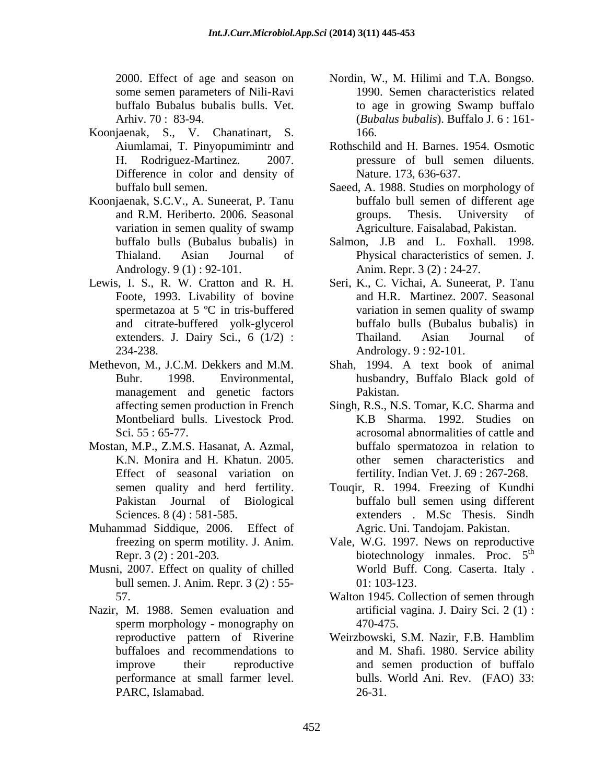some semen parameters of Nili-Ravi

- Koonjaenak, S., V. Chanatinart, S. Aiumlamai, T. Pinyopumimintr and Difference in color and density of Nature 173, 636-637.
- Koonjaenak, S.C.V., A. Suneerat, P. Tanu variation in semen quality of swamp Andrology. 9 (1) : 92-101.
- Foote, 1993. Livability of bovine and citrate-buffered yolk-glycerol
- management and genetic factors Pakistan.
- Mostan, M.P., Z.M.S. Hasanat, A. Azmal, Effect of seasonal variation on Pakistan Journal of Biological
- Muhammad Siddique, 2006. Effect of Agric. Uni. Tandojam. Pakistan.
- Musni, 2007. Effect on quality of chilled bull semen. J. Anim. Repr. 3 (2) : 55- 01: 103-123.
- Nazir, M. 1988. Semen evaluation and PARC, Islamabad.
- 2000. Effect of age and season on Nordin, W., M. Hilimi and T.A. Bongso. buffalo Bubalus bubalis bulls. Vet. to age in growing Swamp buffalo Arhiv. 70 : 83-94. (*Bubalus bubalis*). Buffalo J. 6 : 161- 1990. Semen characteristics related 166.
- H. Rodriguez-Martinez. 2007. pressure of bull semen diluents. Rothschild and H. Barnes. 1954. Osmotic
- buffalo bull semen. Saeed, A. 1988. Studies on morphology of and R.M. Heriberto. 2006. Seasonal Nature. 173, 636-637.<br>Saeed, A. 1988. Studies on morphology of buffalo bull semen of different age groups. Thesis. University of Agriculture. Faisalabad, Pakistan.
- buffalo bulls (Bubalus bubalis) in Salmon, J.B and L. Foxhall. 1998. Thialand. Asian Journal of Physical characteristics of semen. J. Anim. Repr. 3 (2) : 24-27.
- Lewis, I. S., R. W. Cratton and R. H. Seri, K., C. Vichai, A. Suneerat, P. Tanu spermetazoa at 5 ºC in tris-buffered variation in semen quality of swamp extenders. J. Dairy Sci., 6 (1/2) : Thailand. Asian Journal of 234-238. Andrology. 9 : 92-101. and H.R. Martinez. 2007. Seasonal buffalo bulls (Bubalus bubalis) in Thailand. Asian Journal of
- Methevon, M., J.C.M. Dekkers and M.M. Shah, 1994. A text book of animal Buhr. 1998. Environmental, husbandry, Buffalo Black gold of Pakistan.
	- affecting semen production in French Singh, R.S., N.S. Tomar, K.C. Sharma and Montbeliard bulls. Livestock Prod. K.B Sharma. 1992. Studies on Sci. 55 : 65-77. K.N. Monira and H. Khatun. 2005. other semen characteristics and buffalo spermatozoa in relation to fertility. Indian Vet. J. 69 : 267-268.
	- semen quality and herd fertility. Touqir, R. 1994. Freezing of Kundhi Sciences. 8 (4): 581-585. Thesis. Sindh buffalo bull semen using different
	- freezing on sperm motility. J. Anim. Vale, W.G. 1997. News on reproductive Repr.  $3(2): 201-203$ . biotechnology inmales. Proc.  $5<sup>th</sup>$ th World Buff. Cong. Caserta. Italy . 01: 103-123.
	- 57. Walton 1945. Collection of semen through sperm morphology - monography on  $470-475$ . artificial vagina. J. Dairy Sci. 2 (1) : 470-475.
	- reproductive pattern of Riverine Weirzbowski, S.M. Nazir, F.B. Hamblim buffaloes and recommendations to and M. Shafi. 1980. Service ability improve their reproductive and semen production of buffalo performance at small farmer level. bulls. World Ani. Rev. (FAO) 33: Weirzbowski, S.M. Nazir, F.B. Hamblim 26-31.